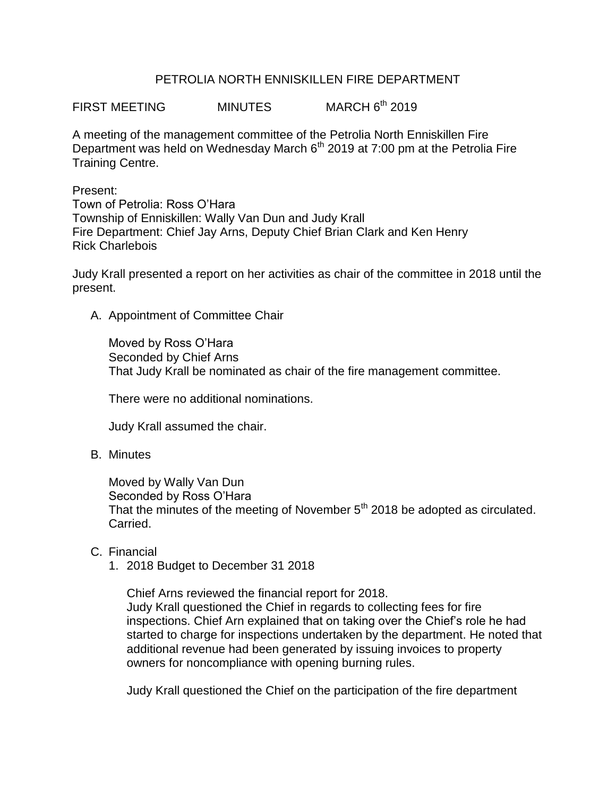# PETROLIA NORTH ENNISKILLEN FIRE DEPARTMENT

FIRST MEETING MINUTES MARCH 6<sup>th</sup> 2019

A meeting of the management committee of the Petrolia North Enniskillen Fire Department was held on Wednesday March  $6<sup>th</sup>$  2019 at 7:00 pm at the Petrolia Fire Training Centre.

Present:

Town of Petrolia: Ross O'Hara Township of Enniskillen: Wally Van Dun and Judy Krall Fire Department: Chief Jay Arns, Deputy Chief Brian Clark and Ken Henry Rick Charlebois

Judy Krall presented a report on her activities as chair of the committee in 2018 until the present.

A. Appointment of Committee Chair

Moved by Ross O'Hara Seconded by Chief Arns That Judy Krall be nominated as chair of the fire management committee.

There were no additional nominations.

Judy Krall assumed the chair.

B. Minutes

Moved by Wally Van Dun Seconded by Ross O'Hara That the minutes of the meeting of November 5<sup>th</sup> 2018 be adopted as circulated. Carried.

- C. Financial
	- 1. 2018 Budget to December 31 2018

Chief Arns reviewed the financial report for 2018. Judy Krall questioned the Chief in regards to collecting fees for fire inspections. Chief Arn explained that on taking over the Chief's role he had started to charge for inspections undertaken by the department. He noted that additional revenue had been generated by issuing invoices to property owners for noncompliance with opening burning rules.

Judy Krall questioned the Chief on the participation of the fire department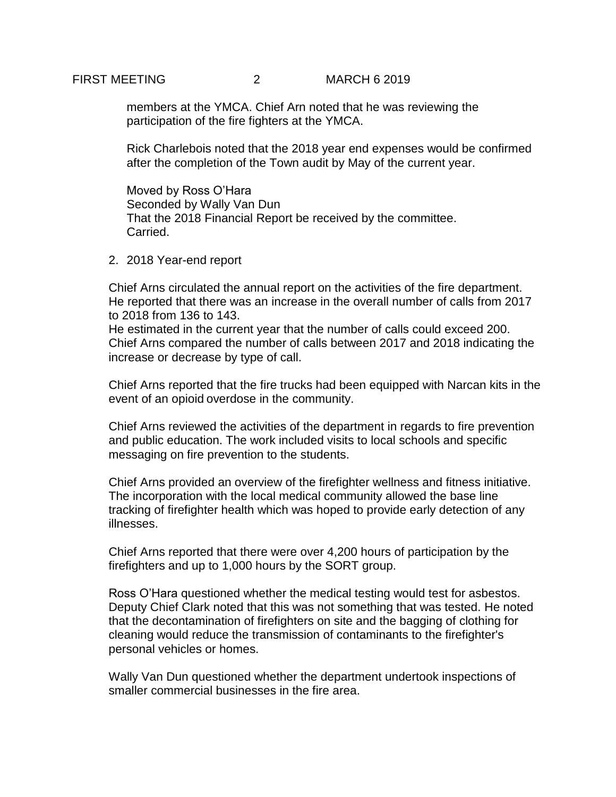FIRST MEETING 2 MARCH 6 2019

members at the YMCA. Chief Arn noted that he was reviewing the participation of the fire fighters at the YMCA.

Rick Charlebois noted that the 2018 year end expenses would be confirmed after the completion of the Town audit by May of the current year.

Moved by Ross O'Hara Seconded by Wally Van Dun That the 2018 Financial Report be received by the committee. Carried.

2. 2018 Year-end report

Chief Arns circulated the annual report on the activities of the fire department. He reported that there was an increase in the overall number of calls from 2017 to 2018 from 136 to 143.

He estimated in the current year that the number of calls could exceed 200. Chief Arns compared the number of calls between 2017 and 2018 indicating the increase or decrease by type of call.

Chief Arns reported that the fire trucks had been equipped with Narcan kits in the event of an opioid overdose in the community.

Chief Arns reviewed the activities of the department in regards to fire prevention and public education. The work included visits to local schools and specific messaging on fire prevention to the students.

Chief Arns provided an overview of the firefighter wellness and fitness initiative. The incorporation with the local medical community allowed the base line tracking of firefighter health which was hoped to provide early detection of any illnesses.

Chief Arns reported that there were over 4,200 hours of participation by the firefighters and up to 1,000 hours by the SORT group.

Ross O'Hara questioned whether the medical testing would test for asbestos. Deputy Chief Clark noted that this was not something that was tested. He noted that the decontamination of firefighters on site and the bagging of clothing for cleaning would reduce the transmission of contaminants to the firefighter's personal vehicles or homes.

Wally Van Dun questioned whether the department undertook inspections of smaller commercial businesses in the fire area.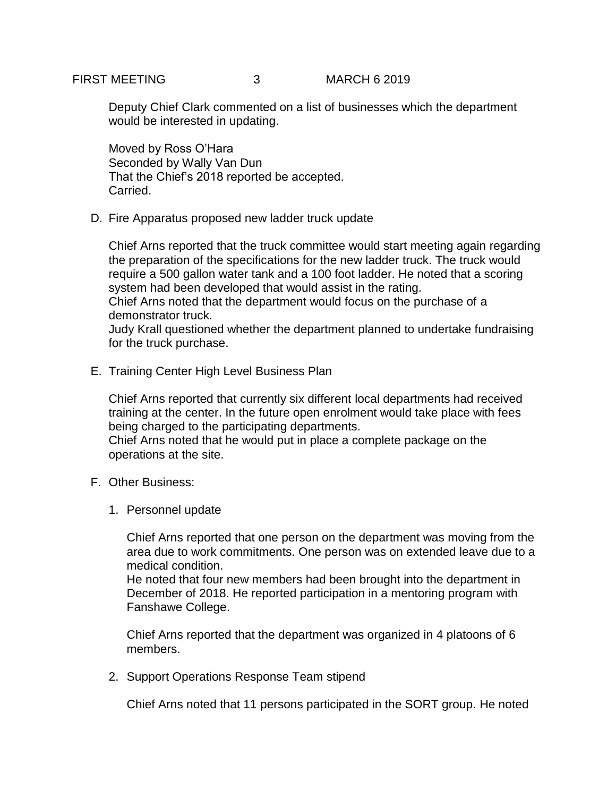Deputy Chief Clark commented on a list of businesses which the department would be interested in updating.

Moved by Ross O'Hara Seconded by Wally Van Dun That the Chief's 2018 reported be accepted. Carried.

D. Fire Apparatus proposed new ladder truck update

Chief Arns reported that the truck committee would start meeting again regarding the preparation of the specifications for the new ladder truck. The truck would require a 500 gallon water tank and a 100 foot ladder. He noted that a scoring system had been developed that would assist in the rating.

Chief Arns noted that the department would focus on the purchase of a demonstrator truck.

Judy Krall questioned whether the department planned to undertake fundraising for the truck purchase.

E. Training Center High Level Business Plan

Chief Arns reported that currently six different local departments had received training at the center. In the future open enrolment would take place with fees being charged to the participating departments. Chief Arns noted that he would put in place a complete package on the operations at the site.

- F. Other Business:
	- 1. Personnel update

Chief Arns reported that one person on the department was moving from the area due to work commitments. One person was on extended leave due to a medical condition.

He noted that four new members had been brought into the department in December of 2018. He reported participation in a mentoring program with Fanshawe College.

Chief Arns reported that the department was organized in 4 platoons of 6 members.

2. Support Operations Response Team stipend

Chief Arns noted that 11 persons participated in the SORT group. He noted